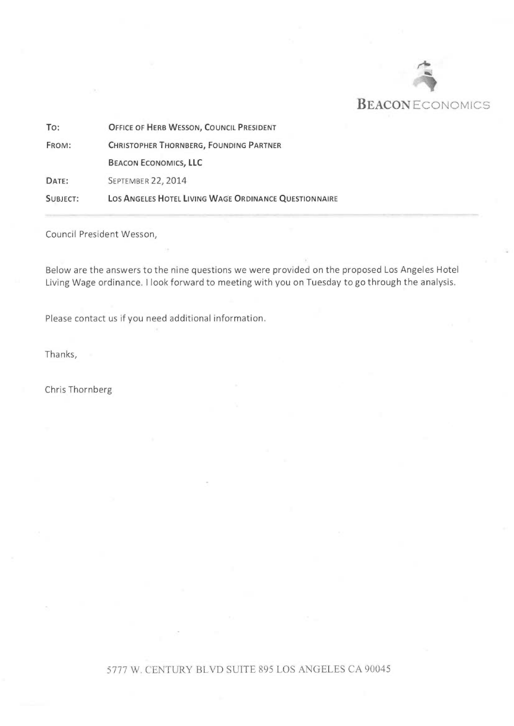

| To:      | OFFICE OF HERB WESSON, COUNCIL PRESIDENT              |
|----------|-------------------------------------------------------|
| FROM:    | <b>CHRISTOPHER THORNBERG, FOUNDING PARTNER</b>        |
|          | <b>BEACON ECONOMICS, LLC</b>                          |
| DATE:    | <b>SEPTEMBER 22, 2014</b>                             |
| SUBJECT: | LOS ANGELES HOTEL LIVING WAGE ORDINANCE QUESTIONNAIRE |

Council President Wesson,

Below are the answers to the nine questions we were provided on the proposed Los Angeles Hotel Living Wage ordinance. I look forward to meeting with you on Tuesday to go through the analysis.

Please contact us if you need additional information.

Thanks,

Chris Thornberg

## 5777 W. CENTURY BLVD SUITE 895 LOS ANGELES CA 90045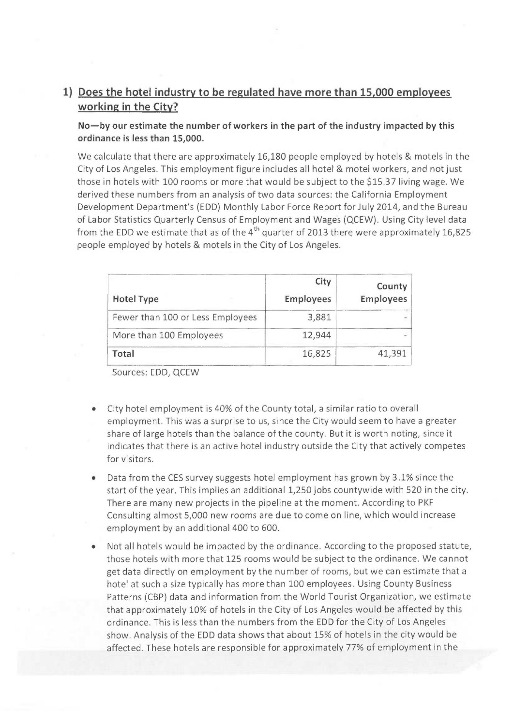## 1) Does the hotel industry to be regulated have more than 15,000 employees working in the City?

No—by our estimate the number of workers in the part of the industry impacted by this ordinance is less than 15,000.

We calculate that there are approximately 16,180 people employed by hotels & motels in the City of Los Angeles. This employment figure includes all hotel & motel workers, and not just those in hotels with 100 rooms or more that would be subject to the \$15.37 living wage. We derived these numbers from an analysis of two data sources: the California Employment Development Department's (EDD) Monthly Labor Force Report for July 2014, and the Bureau of Labor Statistics Quarterly Census of Employment and Wages (QCEW). Using City level data from the EDD we estimate that as of the  $4^{th}$  quarter of 2013 there were approximately 16,825 people employed by hotels & motels in the City of Los Angeles.

| <b>Hotel Type</b>                | City<br><b>Employees</b> | County<br><b>Employees</b> |
|----------------------------------|--------------------------|----------------------------|
| Fewer than 100 or Less Employees | 3,881                    |                            |
| More than 100 Employees          | 12,944                   |                            |
| Total                            | 16,825                   | 41,391                     |

Sources: EDD, QCEW

- City hotel employment is 40% of the County total, a similar ratio to overall employment. This was a surprise to us, since the City would seem to have a greater share of large hotels than the balance of the county. But it is worth noting, since it indicates that there is an active hotel industry outside the City that actively competes for visitors.
- Data from the CES survey suggests hotel employment has grown by 3.1% since the start of the year. This implies an additional 1,250 jobs countywide with 520 in the city. There are many new projects in the pipeline at the moment. According to PKF Consulting almost 5,000 new rooms are due to come on line, which would increase employment by an additional 400 to 600.
- Not all hotels would be impacted by the ordinance. According to the proposed statute, those hotels with more that 125 rooms would be subject to the ordinance. We cannot get data directly on employment by the number of rooms, but we can estimate that a hotel at such a size typically has more than 100 employees. Using County Business Patterns (CBP) data and information from the World Tourist Organization, we estimate that approximately 10% of hotels in the City of Los Angeles would be affected by this ordinance. This is less than the numbers from the EDD for the City of Los Angeles show. Analysis of the EDD data shows that about 15% of hotels in the city would be affected. These hotels are responsible for approximately 77% of employment in the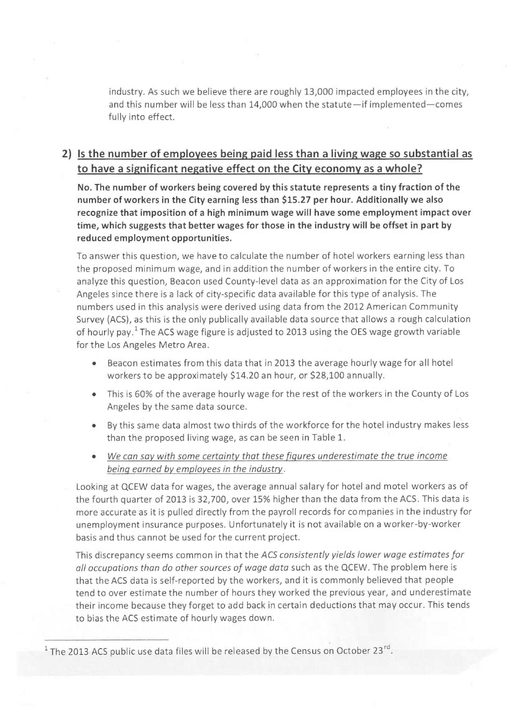industry. As such we believe there are roughly 13,000 impacted employees in the city, and this number will be less than 14,000 when the statute—if implemented—comes fully into effect.

## 2) Is the number of employees being paid less than a living wage so substantial as to have a significant negative effect on the City economy as a whole?

No. The number of workers being covered by this statute represents a tiny fraction of the number of workers in the City earning less than \$15.27 per hour. Additionally we also recognize that imposition of a high minimum wage will have some employment impact over time, which suggests that better wages for those in the industry will be offset in part by reduced employment opportunities.

To answer this question, we have to calculate the number of hotel workers earning less than the proposed minimum wage, and in addition the number of workers in the entire city. To analyze this question, Beacon used County-level data as an approximation for the City of Los Angeles since there is a lack of city-specific data available for this type of analysis. The numbers used in this analysis were derived using data from the 2012 American Community Survey (ACS), as this is the only publically available data source that allows a rough calculation of hourly pay.<sup>1</sup> The ACS wage figure is adjusted to 2013 using the OES wage growth variable for the Los Angeles Metro Area.

- Beacon estimates from this data that in 2013 the average hourly wage for all hotel workers to be approximately \$14.20 an hour, or \$28,100 annually.
- This is 60% of the average hourly wage for the rest of the workers in the County of Los Angeles by the same data source.
- By this same data almost two thirds of the workforce for the hotel industry makes less than the proposed living wage, as can be seen in Table 1.
- We can say with some certainty that these figures underestimate the true income being earned by employees in the industry.

Looking at QCEW data for wages, the average annual salary for hotel and motel workers as of the fourth quarter of 2013 is 32,700, over 15% higher than the data from the ACS. This data is more accurate as it is pulled directly from the payroll records for companies in the industry for unemployment insurance purposes. Unfortunately it is not available on a worker-by-worker basis and thus cannot be used for the current project.

This discrepancy seems common in that the ACS consistently yields lower wage estimates for all occupations than do other sources of wage data such as the QCEW. The problem here is that the ACS data is self-reported by the workers, and it is commonly believed that people tend to over estimate the number of hours they worked the previous year, and underestimate their income because they forget to add back in certain deductions that may occur. This tends to bias the ACS estimate of hourly wages down.

 $^1$  The 2013 ACS public use data files will be released by the Census on October 23<sup>rd</sup>.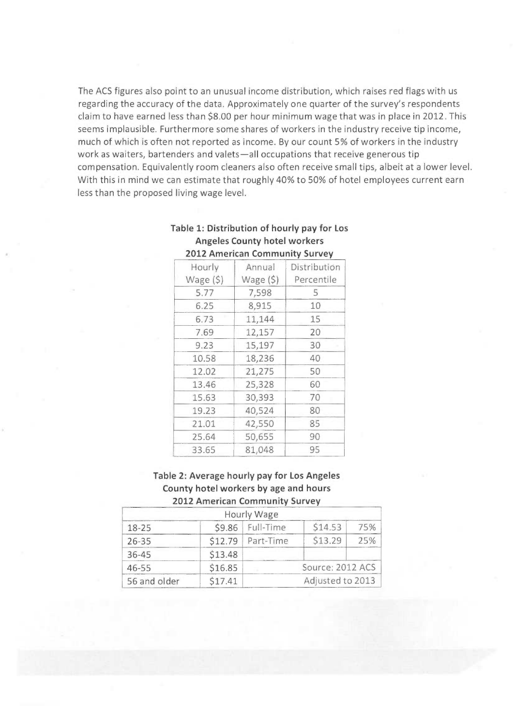The ACS figures also point to an unusual income distribution, which raises red flags with us regarding the accuracy of the data. Approximately one quarter of the survey's respondents claim to have earned less than \$8.00 per hour minimum wage that was in place in 2012. This seems implausible. Furthermore some shares of workers in the industry receive tip income, much of which is often not reported as income. By our count 5% of workers in the industry work as waiters, bartenders and valets—all occupations that receive generous tip compensation. Equivalently room cleaners also often receive small tips, albeit at a lower level. With this in mind we can estimate that roughly 40% to 50% of hotel employees current earn less than the proposed living wage level.

| Hourly<br>Wage $(5)$ | Annual<br>Wage $(5)$ | Distribution<br>Percentile |
|----------------------|----------------------|----------------------------|
|                      |                      |                            |
| 5.77                 | 7,598                | 5                          |
| 6.25                 | 8,915                | 10                         |
| 6.73                 | 11,144               | 15                         |
| 7.69                 | 12,157               | 20                         |
| 9.23                 | 15,197               | 30                         |
| 10.58                | 18,236               | 40                         |
| 12.02                | 21,275               | 50                         |
| 13.46                | 25,328               | 60                         |
| 15.63                | 30,393               | 70                         |
| 19.23                | 40,524               | 80                         |
| 21.01                | 42,550               | 85                         |
| 25.64                | 50,655               | 90                         |
| 33.65                | 81,048               | 95                         |
|                      |                      |                            |

#### Table 1: Distribution of hourly pay for Los Angeles County hotel workers 2012 American Community Survey

#### Table 2: Average hourly pay for Los Angeles County hotel workers by age and hours 2012 American Community Survey

|              |         | Hourly Wage          |         |     |
|--------------|---------|----------------------|---------|-----|
| $18 - 25$    | \$9.86  | Full-Time            | \$14.53 | 75% |
| $26 - 35$    |         | $$12.79$   Part-Time | \$13.29 | 75% |
| 36-45        | \$13.48 |                      |         |     |
| $46 - 55$    | \$16.85 | Source: 2012 ACS     |         |     |
| 56 and older | \$17.41 | Adjusted to 2013     |         |     |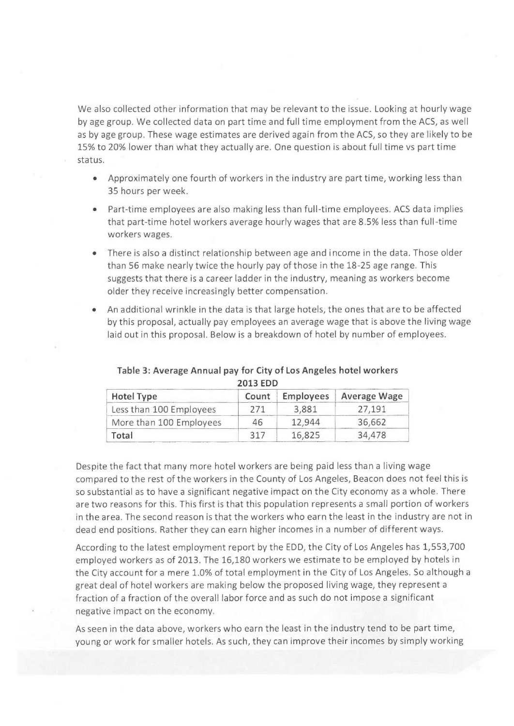We also collected other information that may be relevant to the issue. Looking at hourly wage by age group. We collected data on part time and full time employment from the ACS, as well as by age group. These wage estimates are derived again from the ACS, so they are likely to be 15% to 20% lower than what they actually are. One question is about full time vs part time status.

- Approximately one fourth of workers in the industry are part time, working less than 35 hours per week.
- Part-time employees are also making less than full-time employees. ACS data implies that part-time hotel workers average hourly wages that are 8.5% less than full-time workers wages.
- There is also a distinct relationship between age and income in the data. Those older than 56 make nearly twice the hourly pay of those in the 18-25 age range. This suggests that there is a career ladder in the industry, meaning as workers become older they receive increasingly better compensation.
- An additional wrinkle in the data is that large hotels, the ones that are to be affected by this proposal, actually pay employees an average wage that is above the living wage laid out in this proposal. Below is a breakdown of hotel by number of employees.

| <b>Hotel Type</b>       | Count | <b>Employees</b> | <b>Average Wage</b> |
|-------------------------|-------|------------------|---------------------|
| Less than 100 Employees | 271   | 3,881            | 27.191              |
| More than 100 Employees | 46    | 12,944           | 36,662              |
| Total                   | 317   | 16,825           | 34,478              |

#### Table 3: Average Annual pay for City of Los Angeles hotel workers 2013 EDD

Despite the fact that many more hotel workers are being paid less than a living wage compared to the rest of the workers in the County of Los Angeles, Beacon does not feel this is so substantial as to have a significant negative impact on the City economy as a whole. There are two reasons for this. This first is that this population represents a small portion of workers in the area. The second reason is that the workers who earn the least in the industry are not in dead end positions. Rather they can earn higher incomes in a number of different ways.

According to the latest employment report by the EDD, the City of Los Angeles has 1,553,700 employed workers as of 2013. The 16,180 workers we estimate to be employed by hotels in the City account for a mere 1.0% of total employment in the City of Los Angeles. So although a great deal of hotel workers are making below the proposed living wage, they represent a fraction of a fraction of the overall labor force and as such do not impose a significant negative impact on the economy.

As seen in the data above, workers who earn the least in the industry tend to be part time, young or work for smaller hotels. As such, they can improve their incomes by simply working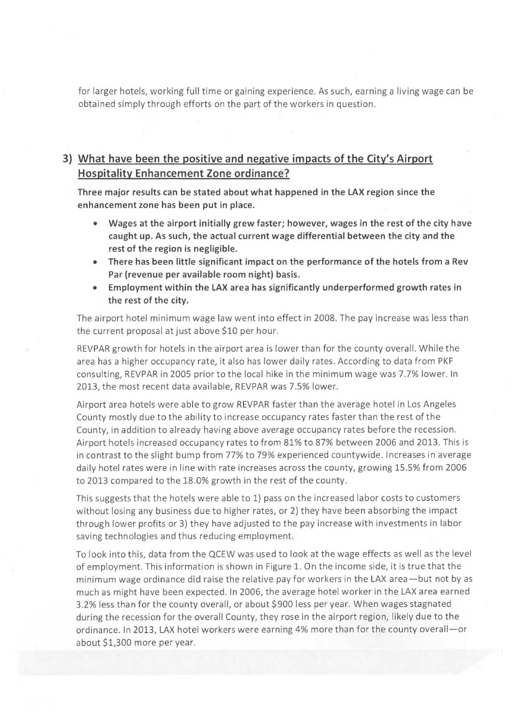for larger hotels, working full time or gaining experience. As such, earning a living wage can be obtained simply through efforts on the part of the workers in question.

## 3) What have been the positive and negative impacts of the City's Airport Hospitality Enhancement Zone ordinance?

Three major results can be stated about what happened in the LAX region since the enhancement zone has been put in place.

- Wages at the airport initially grew faster; however, wages in the rest of the city have caught up. As such, the actual current wage differential between the city and the rest of the region is negligible.
- There has been little significant impact on the performance of the hotels from a Rev Par (revenue per available room night) basis.
- Employment within the LAX area has significantly underperformed growth rates in the rest of the city.

The airport hotel minimum wage law went into effect in 2008. The pay increase was less than the current proposal at just above \$10 per hour.

REVPAR growth for hotels in the airport area is lower than for the county overall. While the area has a higher occupancy rate, it also has lower daily rates. According to data from PKF consulting, REVPAR in 2005 prior to the local hike in the minimum wage was 7.7% lower. In 2013, the most recent data available, REVPAR was 7.5% lower.

Airport area hotels were able to grow REVPAR faster than the average hotel in Los Angeles County mostly due to the ability to increase occupancy rates faster than the rest of the County, in addition to already having above average occupancy rates before the recession. Airport hotels increased occupancy rates to from 81% to 87% between 2006 and 2013. This is in contrast to the slight bump from 77% to 79% experienced countywide. Increases in average daily hotel rates were in line with rate increases across the county, growing 15.5% from 2006 to 2013 compared to the 18.0% growth in the rest of the county.

This suggests that the hotels were able to 1) pass on the increased labor costs to customers without losing any business due to higher rates, or 2) they have been absorbing the impact through lower profits or 3) they have adjusted to the pay increase with investments in labor saving technologies and thus reducing employment.

To look into this, data from the QCEW was used to look at the wage effects as well as the level of employment. This information is shown in Figure 1. On the income side, it is true that the minimum wage ordinance did raise the relative pay for workers in the LAX area—but not by as much as might have been expected. In 2006, the average hotel worker in the LAX area earned 3.2% less than for the county overall, or about \$900 less per year. When wages stagnated during the recession for the overall County, they rose in the airport region, likely due to the ordinance. In 2013, LAX hotel workers were earning 4% more than for the county overall—or about \$1,300 more per year.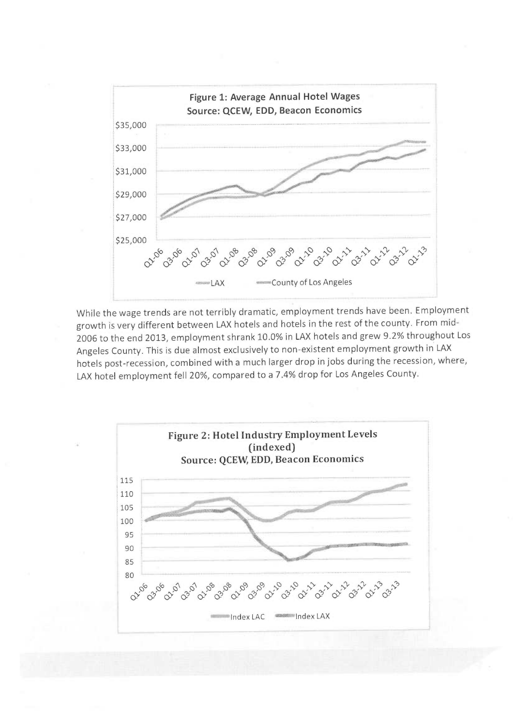

While the wage trends are not terribly dramatic, employment trends have been. Employment growth is very different between LAX hotels and hotels in the rest of the county. From mid-2006 to the end 2013, employment shrank 10.0% in LAX hotels and grew 9.2% throughout Los Angeles County. This is due almost exclusively to non-existent employment growth in LAX hotels post-recession, combined with a much larger drop in jobs during the recession, where, LAX hotel employment fell 20%, compared to a 7.4% drop for Los Angeles County.

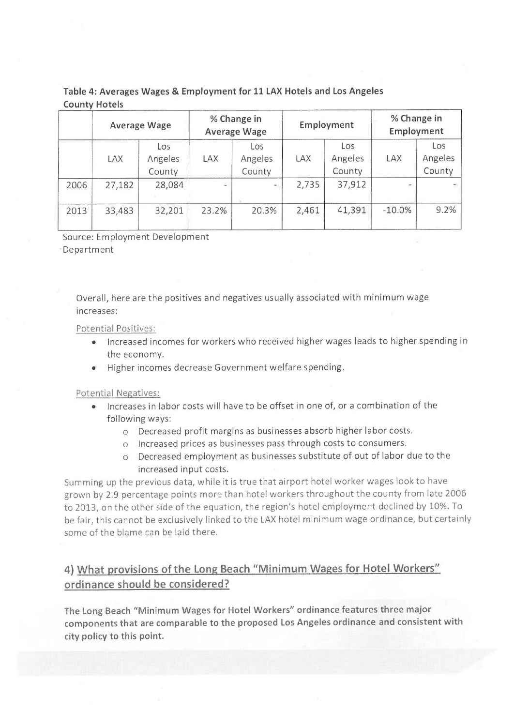### Table 4: Averages Wages & Employment for 11 LAX Hotels and Los Angeles **County Hotels**

|      | <b>Average Wage</b> |                          | % Change in<br><b>Average Wage</b> |                          | Employment |                          | % Change in<br>Employment |                          |
|------|---------------------|--------------------------|------------------------------------|--------------------------|------------|--------------------------|---------------------------|--------------------------|
|      | LAX                 | Los<br>Angeles<br>County | LAX                                | Los<br>Angeles<br>County | LAX        | Los<br>Angeles<br>County | LAX                       | Los<br>Angeles<br>County |
| 2006 | 27,182              | 28,084                   | $\sim$                             | $\frac{1}{2}$            | 2,735      | 37,912                   | $\overline{\phantom{a}}$  | ÷.                       |
| 2013 | 33,483              | 32,201                   | 23.2%                              | 20.3%                    | 2,461      | 41,391                   | $-10.0\%$                 | 9.2%                     |

Source: Employment Development Department

Overall, here are the positives and negatives usually associated with minimum wage increases:

Potential Positives:

- Increased incomes for workers who received higher wages leads to higher spending in the economy.
- Higher incomes decrease Government welfare spending.

Potential Negatives:

- Increases in labor costs will have to be offset in one of, or a combination of the following ways:
	- o Decreased profit margins as businesses absorb higher labor costs.
	- o Increased prices as businesses pass through costs to consumers.
	- o Decreased employment as businesses substitute of out of labor due to the increased input costs.

Summing up the previous data, while it is true that airport hotel worker wages look to have grown by 2.9 percentage points more than hotel workers throughout the county from late 2006 to 2013, on the other side of the equation, the region's hotel employment declined by 10%. To be fair, this cannot be exclusively linked to the LAX hotel minimum wage ordinance, but certainly some of the blame can be laid there.

# 4) What provisions of the Long Beach "Minimum Wages for Hotel Workers" ordinance should be considered?

The Long Beach "Minimum Wages for Hotel Workers" ordinance features three major components that are comparable to the proposed Los Angeles ordinance and consistent with city policy to this point.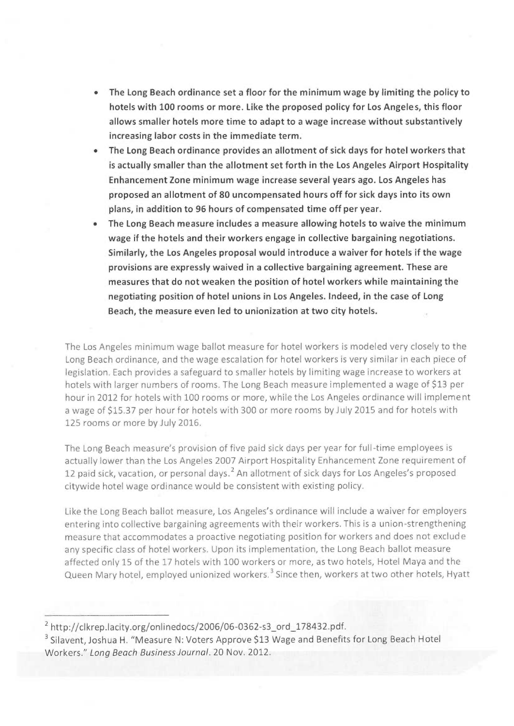- The Long Beach ordinance set a floor for the minimum wage by limiting the policy to hotels with 100 rooms or more. Like the proposed policy for Los Angeles, this floor allows smaller hotels more time to adapt to a wage increase without substantively increasing labor costs in the immediate term.
- The Long Beach ordinance provides an allotment of sick days for hotel workers that is actually smaller than the allotment set forth in the Los Angeles Airport Hospitality Enhancement Zone minimum wage increase several years ago. Los Angeles has proposed an allotment of 80 uncompensated hours off for sick days into its own plans, in addition to 96 hours of compensated time off per year.
- The Long Beach measure includes a measure allowing hotels to waive the minimum wage if the hotels and their workers engage in collective bargaining negotiations. Similarly, the Los Angeles proposal would introduce a waiver for hotels if the wage provisions are expressly waived in a collective bargaining agreement. These are measures that do not weaken the position of hotel workers while maintaining the negotiating position of hotel unions in Los Angeles. Indeed, in the case of Long Beach, the measure even led to unionization at two city hotels.

The Los Angeles minimum wage ballot measure for hotel workers is modeled very closely to the Long Beach ordinance, and the wage escalation for hotel workers is very similar in each piece of legislation. Each provides a safeguard to smaller hotels by limiting wage increase to workers at hotels with larger numbers of rooms, The Long Beach measure implemented a wage of \$13 per hour in 2012 for hotels with 100 rooms or more, while the Los Angeles ordinance will implement a wage of \$15.37 per hour for hotels with 300 or more rooms by July 2015 and for hotels with 125 rooms or more by July 2016.

The Long Beach measure's provision of five paid sick days per year for full-time employees is actually lower than the Los Angeles 2007 Airport Hospitality Enhancement Zone requirement of 12 paid sick, vacation, or personal days.<sup>2</sup> An allotment of sick days for Los Angeles's proposed citywide hotel wage ordinance would be consistent with existing policy.

Like the Long Beach ballot measure, Los Angeles's ordinance will include a waiver for employers entering into collective bargaining agreements with their workers. This is a union-strengthening measure that accommodates a proactive negotiating position for workers and does not exclude any specific class of hotel workers. Upon its implementation, the Long Beach ballot measure affected only 15 of the 17 hotels with 100 workers or more, as two hotels, Hotel Maya and the Queen Mary hotel, employed unionized workers.<sup>3</sup> Since then, workers at two other hotels, Hyatt

 $2$  http://clkrep.lacity.org/onlinedocs/2006/06-0362-s3\_ord\_178432.pdf.

<sup>&</sup>lt;sup>3</sup> Silavent, Joshua H. "Measure N: Voters Approve \$13 Wage and Benefits for Long Beach Hotel Workers." Long Beach Business Journal. 20 Nov. 2012.